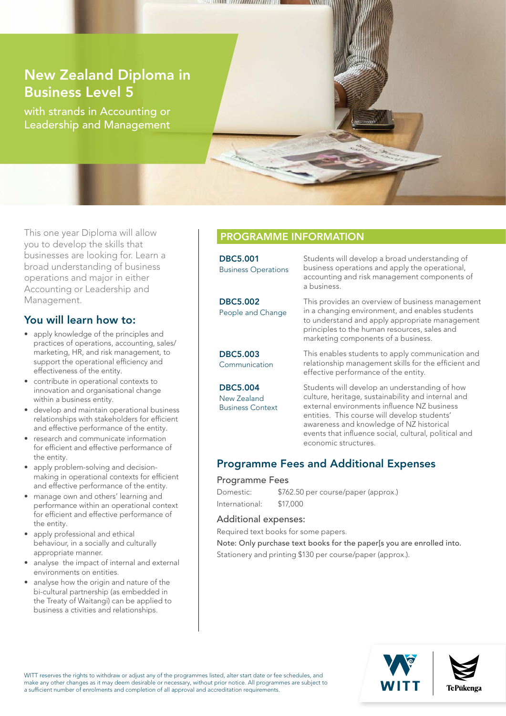## New Zealand Diploma in Business Level 5

with strands in Accounting or Leadership and Management

This one year Diploma will allow you to develop the skills that businesses are looking for. Learn a broad understanding of business operations and major in either Accounting or Leadership and Management.

### You will learn how to:

- apply knowledge of the principles and practices of operations, accounting, sales/ marketing, HR, and risk management, to support the operational efficiency and effectiveness of the entity.
- contribute in operational contexts to innovation and organisational change within a business entity.
- develop and maintain operational business relationships with stakeholders for efficient and effective performance of the entity.
- research and communicate information for efficient and effective performance of the entity.
- apply problem-solving and decisionmaking in operational contexts for efficient and effective performance of the entity.
- manage own and others' learning and performance within an operational context for efficient and effective performance of the entity.
- apply professional and ethical behaviour, in a socially and culturally appropriate manner.
- analyse the impact of internal and external environments on entities.
- analyse how the origin and nature of the bi-cultural partnership (as embedded in the Treaty of Waitangi) can be applied to business a ctivities and relationships.

### PROGRAMME INFORMATION

**WEEK AND LATERATED AND REAL PROPERTY** 

| <b>DBC5.001</b><br><b>Business Operations</b>             | Students will develop a broad understanding of<br>business operations and apply the operational,<br>accounting and risk management components of<br>a business.                                                                                                                                                                 |
|-----------------------------------------------------------|---------------------------------------------------------------------------------------------------------------------------------------------------------------------------------------------------------------------------------------------------------------------------------------------------------------------------------|
| <b>DBC5.002</b><br>People and Change                      | This provides an overview of business management<br>in a changing environment, and enables students<br>to understand and apply appropriate management<br>principles to the human resources, sales and<br>marketing components of a business.                                                                                    |
| <b>DBC5.003</b><br>Communication                          | This enables students to apply communication and<br>relationship management skills for the efficient and<br>effective performance of the entity.                                                                                                                                                                                |
| <b>DBC5.004</b><br>New Zealand<br><b>Business Context</b> | Students will develop an understanding of how<br>culture, heritage, sustainability and internal and<br>external environments influence NZ business<br>entities. This course will develop students'<br>awareness and knowledge of NZ historical<br>events that influence social, cultural, political and<br>economic structures. |

### Programme Fees and Additional Expenses

#### Programme Fees

Domestic: \$762.50 per course/paper (approx.) International: \$17,000

#### Additional expenses:

Required text books for some papers.

Note: Only purchase text books for the paper[s you are enrolled into. Stationery and printing \$130 per course/paper (approx.).



WITT reserves the rights to withdraw or adjust any of the programmes listed, alter start date or fee schedules, and make any other changes as it may deem desirable or necessary, without prior notice. All programmes are subject to a sufficient number of enrolments and completion of all approval and accreditation requirements.